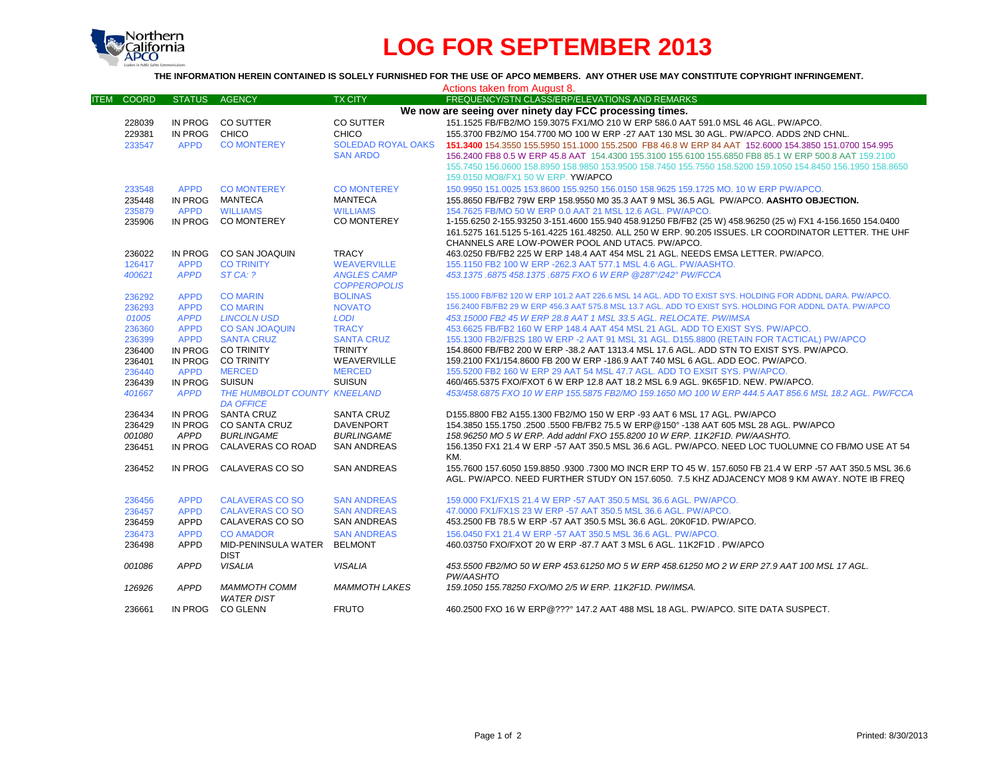

# **LOG FOR SEPTEMBER 2013**

### **THE INFORMATION HEREIN CONTAINED IS SOLELY FURNISHED FOR THE USE OF APCO MEMBERS. ANY OTHER USE MAY CONSTITUTE COPYRIGHT INFRINGEMENT.**

| Actions taken from August 8.                            |               |                                                  |                           |                                                                                                                                                                                                          |
|---------------------------------------------------------|---------------|--------------------------------------------------|---------------------------|----------------------------------------------------------------------------------------------------------------------------------------------------------------------------------------------------------|
| <b>COORD</b><br><b>ITEM</b>                             | <b>STATUS</b> | <b>AGENCY</b>                                    | <b>TX CITY</b>            | FREQUENCY/STN CLASS/ERP/ELEVATIONS AND REMARKS                                                                                                                                                           |
| We now are seeing over ninety day FCC processing times. |               |                                                  |                           |                                                                                                                                                                                                          |
| 228039                                                  |               | IN PROG CO SUTTER                                | CO SUTTER                 | 151.1525 FB/FB2/MO 159.3075 FX1/MO 210 W ERP 586.0 AAT 591.0 MSL 46 AGL. PW/APCO.                                                                                                                        |
| 229381                                                  | IN PROG CHICO |                                                  | CHICO                     | 155.3700 FB2/MO 154.7700 MO 100 W ERP -27 AAT 130 MSL 30 AGL. PW/APCO. ADDS 2ND CHNL.                                                                                                                    |
| 233547                                                  | <b>APPD</b>   | <b>CO MONTEREY</b>                               | <b>SOLEDAD ROYAL OAKS</b> | 151,3400 154,3550 155,5950 151,1000 155,2500 FB8 46.8 W ERP 84 AAT 152,6000 154,3850 151,0700 154,995                                                                                                    |
|                                                         |               |                                                  | <b>SAN ARDO</b>           | 156,2400 FB8 0.5 W ERP 45.8 AAT 154,4300 155,3100 155,6100 155,6850 FB8 85.1 W ERP 500.8 AAT 159,2100                                                                                                    |
|                                                         |               |                                                  |                           | 155.7450 156.0600 158.8950 158.9850 153.9500 158.7450 155.7550 158.5200 159.1050 154.8450 156.1950 158.8650                                                                                              |
|                                                         |               |                                                  |                           | 159.0150 MO8/FX1 50 W ERP. YW/APCO                                                                                                                                                                       |
| 233548                                                  | <b>APPD</b>   | <b>CO MONTEREY</b>                               | <b>CO MONTEREY</b>        | 150,9950 151,0025 153,8600 155,9250 156,0150 158,9625 159,1725 MO, 10 W ERP PW/APCO,                                                                                                                     |
| 235448                                                  | IN PROG       | MANTECA                                          | MANTECA                   | 155.8650 FB/FB2 79W ERP 158.9550 M0 35.3 AAT 9 MSL 36.5 AGL PW/APCO. AASHTO OBJECTION.                                                                                                                   |
| 235879                                                  | <b>APPD</b>   | <b>WILLIAMS</b>                                  | <b>WILLIAMS</b>           | 154.7625 FB/MO 50 W ERP 0.0 AAT 21 MSL 12.6 AGL. PW/APCO.                                                                                                                                                |
| 235906                                                  |               | IN PROG CO MONTEREY                              | <b>CO MONTEREY</b>        | 1-155.6250 2-155.93250 3-151.4600 155.940 458.91250 FB/FB2 (25 W) 458.96250 (25 w) FX1 4-156.1650 154.0400                                                                                               |
|                                                         |               |                                                  |                           | 161.5275 161.5125 5-161.4225 161.48250, ALL 250 W ERP, 90.205 ISSUES, LR COORDINATOR LETTER, THE UHF<br>CHANNELS ARE LOW-POWER POOL AND UTAC5. PW/APCO.                                                  |
| 236022                                                  | IN PROG       | CO SAN JOAQUIN                                   | <b>TRACY</b>              | 463.0250 FB/FB2 225 W ERP 148.4 AAT 454 MSL 21 AGL. NEEDS EMSA LETTER, PW/APCO.                                                                                                                          |
| 126417                                                  | <b>APPD</b>   | <b>CO TRINITY</b>                                | <b>WEAVERVILLE</b>        | 155.1150 FB2 100 W ERP - 262.3 AAT 577.1 MSL 4.6 AGL. PW/AASHTO.                                                                                                                                         |
| 400621                                                  | <b>APPD</b>   | ST CA: ?                                         | <b>ANGLES CAMP</b>        | 453.1375.6875 458.1375.6875 FXO 6 W ERP @287°/242° PW/FCCA                                                                                                                                               |
|                                                         |               |                                                  | <b>COPPEROPOLIS</b>       |                                                                                                                                                                                                          |
| 236292                                                  | <b>APPD</b>   | <b>CO MARIN</b>                                  | <b>BOLINAS</b>            | 155.1000 FB/FB2 120 W ERP 101.2 AAT 226.6 MSL 14 AGL. ADD TO EXIST SYS. HOLDING FOR ADDNL DARA. PW/APCO.                                                                                                 |
| 236293                                                  | <b>APPD</b>   | <b>CO MARIN</b>                                  | <b>NOVATO</b>             | 156,2400 FB/FB2 29 W ERP 456.3 AAT 575.8 MSL 13.7 AGL, ADD TO EXIST SYS. HOLDING FOR ADDNL DATA, PW/APCO                                                                                                 |
| 01005                                                   | <b>APPD</b>   | <b>LINCOLN USD</b>                               | <b>LODI</b>               | 453.15000 FB2 45 W ERP 28.8 AAT 1 MSL 33.5 AGL. RELOCATE. PW/IMSA                                                                                                                                        |
| 236360                                                  | <b>APPD</b>   | <b>CO SAN JOAQUIN</b>                            | <b>TRACY</b>              | 453.6625 FB/FB2 160 W ERP 148.4 AAT 454 MSL 21 AGL. ADD TO EXIST SYS. PW/APCO.                                                                                                                           |
| 236399                                                  | <b>APPD</b>   | <b>SANTA CRUZ</b>                                | <b>SANTA CRUZ</b>         | 155.1300 FB2/FB2S 180 W ERP -2 AAT 91 MSL 31 AGL, D155.8800 (RETAIN FOR TACTICAL) PW/APCO                                                                                                                |
| 236400                                                  | IN PROG       | <b>CO TRINITY</b>                                | <b>TRINITY</b>            | 154.8600 FB/FB2 200 W ERP -38.2 AAT 1313.4 MSL 17.6 AGL. ADD STN TO EXIST SYS. PW/APCO.                                                                                                                  |
| 236401                                                  |               | IN PROG CO TRINITY                               | WEAVERVILLE               | 159.2100 FX1/154.8600 FB 200 W ERP -186.9 AAT 740 MSL 6 AGL, ADD EOC, PW/APCO,                                                                                                                           |
| 236440                                                  | <b>APPD</b>   | <b>MERCED</b>                                    | <b>MERCED</b>             | 155.5200 FB2 160 W ERP 29 AAT 54 MSL 47.7 AGL. ADD TO EXSIT SYS. PW/APCO.                                                                                                                                |
| 236439                                                  | IN PROG       | SUISUN                                           | <b>SUISUN</b>             | 460/465.5375 FXO/FXOT 6 W ERP 12.8 AAT 18.2 MSL 6.9 AGL, 9K65F1D, NEW, PW/APCO,                                                                                                                          |
| 401667                                                  | <b>APPD</b>   | THE HUMBOLDT COUNTY KNEELAND<br><b>DA OFFICE</b> |                           | 453/458.6875 FXO 10 W ERP 155.5875 FB2/MO 159.1650 MO 100 W ERP 444.5 AAT 856.6 MSL 18.2 AGL. PW/FCCA                                                                                                    |
| 236434                                                  |               | IN PROG SANTA CRUZ                               | <b>SANTA CRUZ</b>         | D155.8800 FB2 A155.1300 FB2/MO 150 W ERP -93 AAT 6 MSL 17 AGL, PW/APCO                                                                                                                                   |
| 236429                                                  | IN PROG       | <b>CO SANTA CRUZ</b>                             | <b>DAVENPORT</b>          | 154.3850 155.1750 .2500 .5500 FB/FB2 75.5 W ERP@150° -138 AAT 605 MSL 28 AGL, PW/APCO                                                                                                                    |
| 001080                                                  | APPD          | <b>BURLINGAME</b>                                | <b>BURLINGAME</b>         | 158.96250 MO 5 W ERP. Add addnl FXO 155.8200 10 W ERP. 11K2F1D. PW/AASHTO.                                                                                                                               |
| 236451                                                  | IN PROG       | CALAVERAS CO ROAD                                | <b>SAN ANDREAS</b>        | 156.1350 FX1 21.4 W ERP -57 AAT 350.5 MSL 36.6 AGL. PW/APCO. NEED LOC TUOLUMNE CO FB/MO USE AT 54<br>KM.                                                                                                 |
| 236452                                                  | IN PROG       | CALAVERAS CO SO                                  | <b>SAN ANDREAS</b>        | 155.7600 157.6050 159.8850 .9300 .7300 MO INCR ERP TO 45 W, 157.6050 FB 21.4 W ERP -57 AAT 350.5 MSL 36.6<br>AGL. PW/APCO, NEED FURTHER STUDY ON 157,6050. 7.5 KHZ ADJACENCY MO8 9 KM AWAY, NOTE IB FREQ |
|                                                         |               |                                                  |                           |                                                                                                                                                                                                          |
| 236456                                                  | <b>APPD</b>   | <b>CALAVERAS CO SO</b>                           | <b>SAN ANDREAS</b>        | 159,000 FX1/FX1S 21.4 W ERP -57 AAT 350.5 MSL 36.6 AGL, PW/APCO.                                                                                                                                         |
| 236457                                                  | <b>APPD</b>   | <b>CALAVERAS CO SO</b>                           | <b>SAN ANDREAS</b>        | 47.0000 FX1/FX1S 23 W ERP -57 AAT 350.5 MSL 36.6 AGL. PW/APCO.                                                                                                                                           |
| 236459                                                  | <b>APPD</b>   | CALAVERAS CO SO                                  | <b>SAN ANDREAS</b>        | 453.2500 FB 78.5 W ERP -57 AAT 350.5 MSL 36.6 AGL. 20K0F1D. PW/APCO.                                                                                                                                     |
| 236473                                                  | <b>APPD</b>   | <b>CO AMADOR</b>                                 | <b>SAN ANDREAS</b>        | 156.0450 FX1 21.4 W ERP -57 AAT 350.5 MSL 36.6 AGL. PW/APCO.                                                                                                                                             |
| 236498                                                  | <b>APPD</b>   | MID-PENINSULA WATER BELMONT<br><b>DIST</b>       |                           | 460.03750 FXO/FXOT 20 W ERP -87.7 AAT 3 MSL 6 AGL. 11K2F1D . PW/APCO                                                                                                                                     |
| 001086                                                  | <b>APPD</b>   | <b>VISALIA</b>                                   | <b>VISALIA</b>            | 453.5500 FB2/MO 50 W ERP 453.61250 MO 5 W ERP 458.61250 MO 2 W ERP 27.9 AAT 100 MSL 17 AGL.<br>PW/AASHTO                                                                                                 |
| 126926                                                  | <b>APPD</b>   | <b>MAMMOTH COMM</b><br><b>WATER DIST</b>         | <b>MAMMOTH LAKES</b>      | 159.1050 155.78250 FXO/MO 2/5 W ERP. 11K2F1D. PW/IMSA.                                                                                                                                                   |
| 236661                                                  |               | IN PROG CO GLENN                                 | <b>FRUTO</b>              | 460.2500 FXO 16 W ERP@??? 147.2 AAT 488 MSL 18 AGL. PW/APCO. SITE DATA SUSPECT.                                                                                                                          |